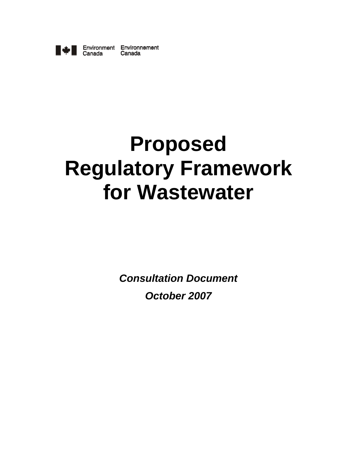

Environment Environnement Canada Canada

# **Proposed Regulatory Framework for Wastewater**

*Consultation Document October 2007*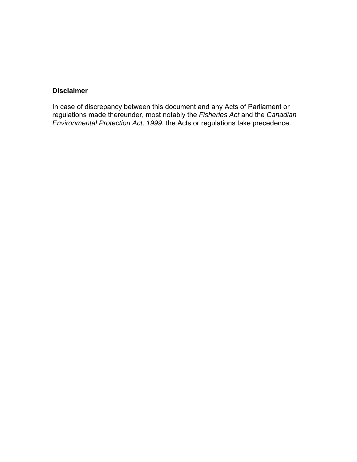## **Disclaimer**

In case of discrepancy between this document and any Acts of Parliament or regulations made thereunder, most notably the *Fisheries Act* and the *Canadian Environmental Protection Act, 1999*, the Acts or regulations take precedence.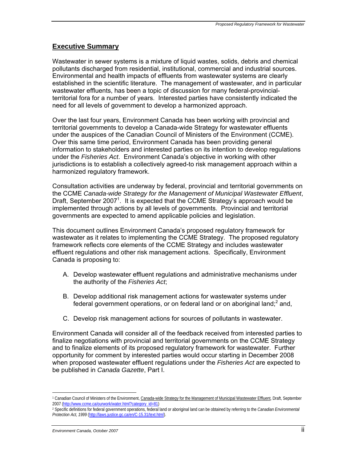## **Executive Summary**

Wastewater in sewer systems is a mixture of liquid wastes, solids, debris and chemical pollutants discharged from residential, institutional, commercial and industrial sources. Environmental and health impacts of effluents from wastewater systems are clearly established in the scientific literature. The management of wastewater, and in particular wastewater effluents, has been a topic of discussion for many federal-provincialterritorial fora for a number of years. Interested parties have consistently indicated the need for all levels of government to develop a harmonized approach.

Over the last four years, Environment Canada has been working with provincial and territorial governments to develop a Canada-wide Strategy for wastewater effluents under the auspices of the Canadian Council of Ministers of the Environment (CCME). Over this same time period, Environment Canada has been providing general information to stakeholders and interested parties on its intention to develop regulations under the *Fisheries Act*. Environment Canada's objective in working with other jurisdictions is to establish a collectively agreed-to risk management approach within a harmonized regulatory framework.

Consultation activities are underway by federal, provincial and territorial governments on the CCME *Canada-wide Strategy for the Management of Municipal Wastewater Effluent*, Draft, September 2007<sup>1</sup>. It is expected that the CCME Strategy's approach would be implemented through actions by all levels of governments. Provincial and territorial governments are expected to amend applicable policies and legislation.

This document outlines Environment Canada's proposed regulatory framework for wastewater as it relates to implementing the CCME Strategy. The proposed regulatory framework reflects core elements of the CCME Strategy and includes wastewater effluent regulations and other risk management actions. Specifically, Environment Canada is proposing to:

- A. Develop wastewater effluent regulations and administrative mechanisms under the authority of the *Fisheries Act*;
- B. Develop additional risk management actions for wastewater systems under federal government operations, or on federal land or on aboriginal land; $^2$  and,
- C. Develop risk management actions for sources of pollutants in wastewater.

Environment Canada will consider all of the feedback received from interested parties to finalize negotiations with provincial and territorial governments on the CCME Strategy and to finalize elements of its proposed regulatory framework for wastewater. Further opportunity for comment by interested parties would occur starting in December 2008 when proposed wastewater effluent regulations under the *Fisheries Act* are expected to be published in *Canada Gazette*, Part I.

l <sup>1</sup> Canadian Council of Ministers of the Environment, Canada-wide Strategy for the Management of Municipal Wastewater Effluent, Draft, September 2007 (http://www.ccme.ca/ourwork/water.html?category\_id=81)

<sup>2</sup> Specific definitions for federal government operations, federal land or aboriginal land can be obtained by referring to the *Canadian Environmental Protection Act, 1999* (http://laws.justice.gc.ca/en/C-15.31/text.html).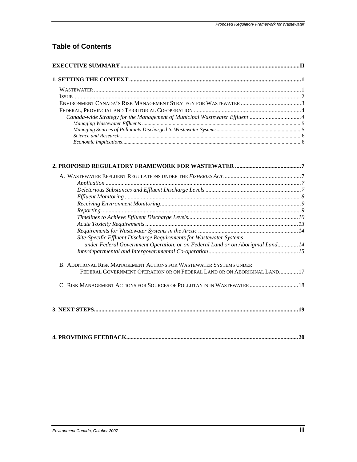# **Table of Contents**

| Canada-wide Strategy for the Management of Municipal Wastewater Effluent 4 |  |  |
|----------------------------------------------------------------------------|--|--|
|                                                                            |  |  |
|                                                                            |  |  |
|                                                                            |  |  |
|                                                                            |  |  |

| Site-Specific Effluent Discharge Requirements for Wastewater Systems            |  |  |  |  |
|---------------------------------------------------------------------------------|--|--|--|--|
| under Federal Government Operation, or on Federal Land or on Aboriginal Land 14 |  |  |  |  |
|                                                                                 |  |  |  |  |
| B. ADDITIONAL RISK MANAGEMENT ACTIONS FOR WASTEWATER SYSTEMS UNDER              |  |  |  |  |
| FEDERAL GOVERNMENT OPERATION OR ON FEDERAL LAND OR ON ABORIGINAL LAND17         |  |  |  |  |
| C. RISK MANAGEMENT ACTIONS FOR SOURCES OF POLLUTANTS IN WASTEWATER  18          |  |  |  |  |
|                                                                                 |  |  |  |  |
|                                                                                 |  |  |  |  |

|--|--|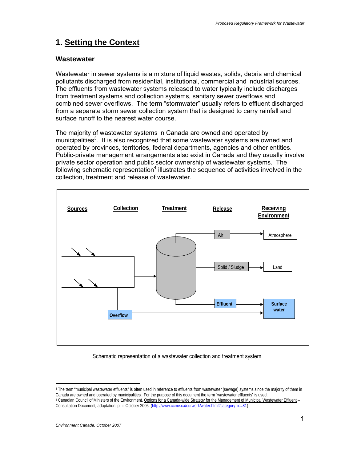# **1. Setting the Context**

## **Wastewater**

Wastewater in sewer systems is a mixture of liquid wastes, solids, debris and chemical pollutants discharged from residential, institutional, commercial and industrial sources. The effluents from wastewater systems released to water typically include discharges from treatment systems and collection systems, sanitary sewer overflows and combined sewer overflows. The term "stormwater" usually refers to effluent discharged from a separate storm sewer collection system that is designed to carry rainfall and surface runoff to the nearest water course.

The majority of wastewater systems in Canada are owned and operated by municipalities<sup>3</sup>. It is also recognized that some wastewater systems are owned and operated by provinces, territories, federal departments, agencies and other entities. Public-private management arrangements also exist in Canada and they usually involve private sector operation and public sector ownership of wastewater systems. The following schematic representation<sup>4</sup> illustrates the sequence of activities involved in the collection, treatment and release of wastewater.



Schematic representation of a wastewater collection and treatment system

<sup>1</sup> <sup>3</sup> The term "municipal wastewater effluents" is often used in reference to effluents from wastewater (sewage) systems since the majority of them in<br>Canada are owned and operated by municipalities. For the purpose of this 4 Canadian Council of Ministers of the Environment, Options for a Canada-wide Strategy for the Management of Municipal Wastewater Effluent -Consultation Document*,* adaptation, p. ii, October 2006(http://www.ccme.ca/ourwork/water.html?category\_id=81)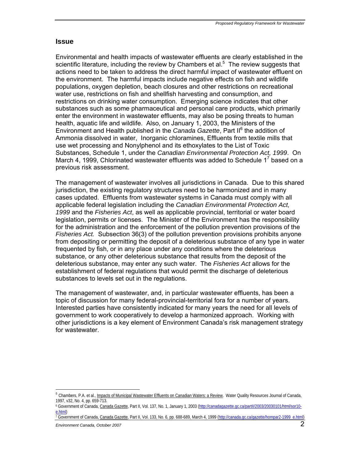## **Issue**

Environmental and health impacts of wastewater effluents are clearly established in the scientific literature, including the review by Chambers et al. $<sup>5</sup>$  The review suggests that</sup> actions need to be taken to address the direct harmful impact of wastewater effluent on the environment. The harmful impacts include negative effects on fish and wildlife populations, oxygen depletion, beach closures and other restrictions on recreational water use, restrictions on fish and shellfish harvesting and consumption, and restrictions on drinking water consumption. Emerging science indicates that other substances such as some pharmaceutical and personal care products, which primarily enter the environment in wastewater effluents, may also be posing threats to human health, aquatic life and wildlife. Also, on January 1, 2003, the Ministers of the Environment and Health published in the *Canada Gazette*, Part II6 the addition of Ammonia dissolved in water, Inorganic chloramines, Effluents from textile mills that use wet processing and Nonylphenol and its ethoxylates to the List of Toxic Substances, Schedule 1, under the *Canadian Environmental Protection Act, 1999*. On March 4, 1999, Chlorinated wastewater effluents was added to Schedule  $1^7$  based on a previous risk assessment.

The management of wastewater involves all jurisdictions in Canada. Due to this shared jurisdiction, the existing regulatory structures need to be harmonized and in many cases updated. Effluents from wastewater systems in Canada must comply with all applicable federal legislation including the *Canadian Environmental Protection Act, 1999* and the *Fisheries Act*, as well as applicable provincial, territorial or water board legislation, permits or licenses. The Minister of the Environment has the responsibility for the administration and the enforcement of the pollution prevention provisions of the *Fisheries Act.* Subsection 36(3) of the pollution prevention provisions prohibits anyone from depositing or permitting the deposit of a deleterious substance of any type in water frequented by fish, or in any place under any conditions where the deleterious substance, or any other deleterious substance that results from the deposit of the deleterious substance, may enter any such water. The *Fisheries Act* allows for the establishment of federal regulations that would permit the discharge of deleterious substances to levels set out in the regulations.

The management of wastewater, and, in particular wastewater effluents, has been a topic of discussion for many federal-provincial-territorial fora for a number of years. Interested parties have consistently indicated for many years the need for all levels of government to work cooperatively to develop a harmonized approach. Working with other jurisdictions is a key element of Environment Canada's risk management strategy for wastewater.

<sup>&</sup>lt;sup>5</sup> Chambers, P.A. et al., **Impacts of Municipal Wastewater Effluents on Canadian Waters: a Review. Water Quality Resources Journal of Canada,** 1997, v32, No. 4, pp. 659-713.

<sup>6</sup> Government of Canada, Canada Gazette, Part II, Vol. 137, No. 1, January 1, 2003 (http://canadagazette.gc.ca/partII/2003/20030101/html/sor10 e.html)<br>7 Government of Canada, <u>Canada Gazette</u>, Part II, Vol. 133, No. 6, pp. 688-689, March 4, 1999 (http://canada.gc.ca/gazette/hompar2-1999\_e.html)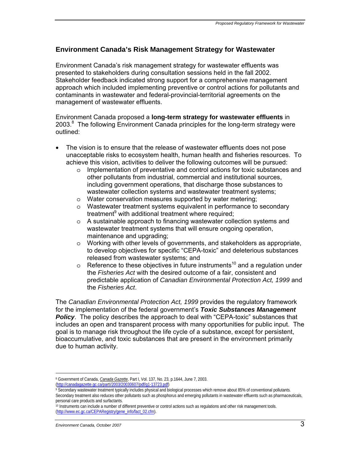## **Environment Canada's Risk Management Strategy for Wastewater**

Environment Canada's risk management strategy for wastewater effluents was presented to stakeholders during consultation sessions held in the fall 2002. Stakeholder feedback indicated strong support for a comprehensive management approach which included implementing preventive or control actions for pollutants and contaminants in wastewater and federal-provincial-territorial agreements on the management of wastewater effluents.

Environment Canada proposed a **long-term strategy for wastewater effluents** in 2003.<sup>8</sup> The following Environment Canada principles for the long-term strategy were outlined:

- The vision is to ensure that the release of wastewater effluents does not pose unacceptable risks to ecosystem health, human health and fisheries resources. To achieve this vision, activities to deliver the following outcomes will be pursued:
	- $\circ$  Implementation of preventative and control actions for toxic substances and other pollutants from industrial, commercial and institutional sources, including government operations, that discharge those substances to wastewater collection systems and wastewater treatment systems;
	- o Water conservation measures supported by water metering;
	- o Wastewater treatment systems equivalent in performance to secondary treatment<sup>9</sup> with additional treatment where required;
	- o A sustainable approach to financing wastewater collection systems and wastewater treatment systems that will ensure ongoing operation, maintenance and upgrading;
	- o Working with other levels of governments, and stakeholders as appropriate, to develop objectives for specific "CEPA-toxic" and deleterious substances released from wastewater systems; and
	- $\circ$  Reference to these objectives in future instruments<sup>10</sup> and a regulation under the *Fisheries Act* with the desired outcome of a fair, consistent and predictable application of *Canadian Environmental Protection Act, 1999* and the *Fisheries Act*.

The *Canadian Environmental Protection Act, 1999* provides the regulatory framework for the implementation of the federal government's *Toxic Substances Management Policy*. The policy describes the approach to deal with "CEPA-toxic" substances that includes an open and transparent process with many opportunities for public input. The goal is to manage risk throughout the life cycle of a substance, except for persistent, bioaccumulative, and toxic substances that are present in the environment primarily due to human activity.

<sup>1</sup> 8 Government of Canada, *Canada Gazette*, Part I, Vol. 137, No. 23, p.1644, June 7, 2003.

<sup>(</sup>http://canadagazette.gc.ca/partl/2003/20030607/pdf/g1-13723.pdf)<br>9 Secondary wastewater treatment typically includes physical and biological processes which remove about 85% of conventional pollutants.

Secondary treatment also reduces other pollutants such as phosphorus and emerging pollutants in wastewater effluents such as pharmaceuticals, personal care products and surfactants.

<sup>&</sup>lt;sup>10</sup> Instruments can include a number of different preventive or control actions such as regulations and other risk management tools. (http://www.ec.gc.ca/CEPARegistry/gene\_info/fact\_02.cfm).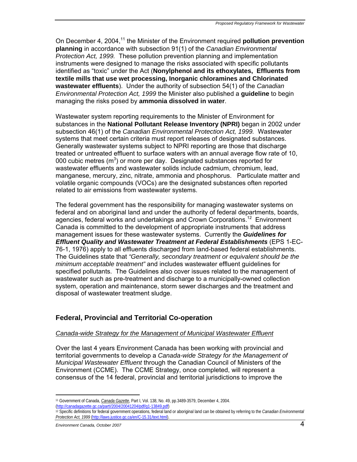On December 4, 2004,<sup>11</sup> the Minister of the Environment required **pollution prevention planning** in accordance with subsection 91(1) of the *Canadian Environmental Protection Act, 1999.* These pollution prevention planning and implementation instruments were designed to manage the risks associated with specific pollutants identified as "toxic" under the Act (**Nonylphenol and its ethoxylates, Effluents from textile mills that use wet processing, Inorganic chloramines and Chlorinated wastewater effluents**). Under the authority of subsection 54(1) of the *Canadian Environmental Protection Act, 1999* the Minister also published a **guideline** to begin managing the risks posed by **ammonia dissolved in water**.

Wastewater system reporting requirements to the Minister of Environment for substances in the **National Pollutant Release Inventory (NPRI)** began in 2002 under subsection 46(1) of the *Canadian Environmental Protection Act, 1999.* Wastewater systems that meet certain criteria must report releases of designated substances. Generally wastewater systems subject to NPRI reporting are those that discharge treated or untreated effluent to surface waters with an annual average flow rate of 10, 000 cubic metres  $(m^3)$  or more per day. Designated substances reported for wastewater effluents and wastewater solids include cadmium, chromium, lead, manganese, mercury, zinc, nitrate, ammonia and phosphorus. Particulate matter and volatile organic compounds (VOCs) are the designated substances often reported related to air emissions from wastewater systems.

The federal government has the responsibility for managing wastewater systems on federal and on aboriginal land and under the authority of federal departments, boards, agencies, federal works and undertakings and Crown Corporations.<sup>12</sup> Environment Canada is committed to the development of appropriate instruments that address management issues for these wastewater systems. Currently the *Guidelines for Effluent Quality and Wastewater Treatment at Federal Establishments* (EPS 1-EC-76-1, 1976) apply to all effluents discharged from land-based federal establishments. The Guidelines state that *"Generally, secondary treatment or equivalent should be the minimum acceptable treatment"* and includes wastewater effluent guidelines for specified pollutants. The Guidelines also cover issues related to the management of wastewater such as pre-treatment and discharge to a municipally-owned collection system, operation and maintenance, storm sewer discharges and the treatment and disposal of wastewater treatment sludge.

## **Federal, Provincial and Territorial Co-operation**

## *Canada-wide Strategy for the Management of Municipal Wastewater Effluent*

Over the last 4 years Environment Canada has been working with provincial and territorial governments to develop a *Canada-wide Strategy for the Management of Municipal Wastewater Effluent* through the Canadian Council of Ministers of the Environment (CCME). The CCME Strategy, once completed, will represent a consensus of the 14 federal, provincial and territorial jurisdictions to improve the

<sup>11</sup> Government of Canada, *Canada Gazette*, Part I, Vol. 138, No. 49, pp.3489-3579, December 4, 2004. (http://canadagazette.gc.ca/partI/2004/20041204/pdf/g1-13849.pdf)

<sup>12</sup> Specific definitions for federal government operations, federal land or aboriginal land can be obtained by referring to the *Canadian Environmental Protection Act, 1999* (http://laws.justice.gc.ca/en/C-15.31/text.html).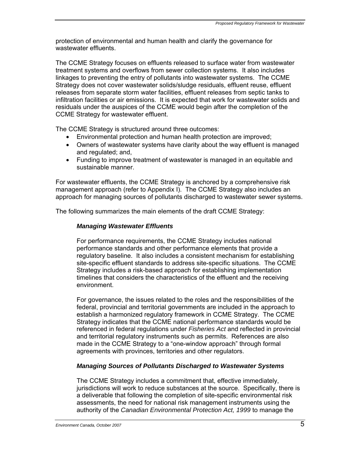protection of environmental and human health and clarify the governance for wastewater effluents.

The CCME Strategy focuses on effluents released to surface water from wastewater treatment systems and overflows from sewer collection systems. It also includes linkages to preventing the entry of pollutants into wastewater systems. The CCME Strategy does not cover wastewater solids/sludge residuals, effluent reuse, effluent releases from separate storm water facilities, effluent releases from septic tanks to infiltration facilities or air emissions. It is expected that work for wastewater solids and residuals under the auspices of the CCME would begin after the completion of the CCME Strategy for wastewater effluent.

The CCME Strategy is structured around three outcomes:

- Environmental protection and human health protection are improved;
- Owners of wastewater systems have clarity about the way effluent is managed and regulated; and,
- Funding to improve treatment of wastewater is managed in an equitable and sustainable manner.

For wastewater effluents, the CCME Strategy is anchored by a comprehensive risk management approach (refer to Appendix I). The CCME Strategy also includes an approach for managing sources of pollutants discharged to wastewater sewer systems.

The following summarizes the main elements of the draft CCME Strategy:

## *Managing Wastewater Effluents*

For performance requirements, the CCME Strategy includes national performance standards and other performance elements that provide a regulatory baseline. It also includes a consistent mechanism for establishing site-specific effluent standards to address site-specific situations. The CCME Strategy includes a risk-based approach for establishing implementation timelines that considers the characteristics of the effluent and the receiving environment.

For governance, the issues related to the roles and the responsibilities of the federal, provincial and territorial governments are included in the approach to establish a harmonized regulatory framework in CCME Strategy. The CCME Strategy indicates that the CCME national performance standards would be referenced in federal regulations under *Fisheries Act* and reflected in provincial and territorial regulatory instruments such as permits. References are also made in the CCME Strategy to a "one-window approach" through formal agreements with provinces, territories and other regulators.

## *Managing Sources of Pollutants Discharged to Wastewater Systems*

The CCME Strategy includes a commitment that, effective immediately, jurisdictions will work to reduce substances at the source. Specifically, there is a deliverable that following the completion of site-specific environmental risk assessments, the need for national risk management instruments using the authority of the *Canadian Environmental Protection Act, 1999* to manage the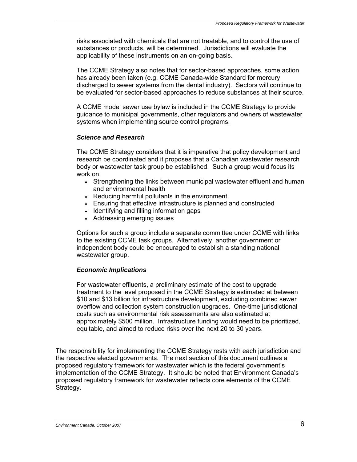risks associated with chemicals that are not treatable, and to control the use of substances or products, will be determined. Jurisdictions will evaluate the applicability of these instruments on an on-going basis.

The CCME Strategy also notes that for sector-based approaches, some action has already been taken (e.g. CCME Canada-wide Standard for mercury discharged to sewer systems from the dental industry). Sectors will continue to be evaluated for sector-based approaches to reduce substances at their source.

A CCME model sewer use bylaw is included in the CCME Strategy to provide guidance to municipal governments, other regulators and owners of wastewater systems when implementing source control programs.

## *Science and Research*

The CCME Strategy considers that it is imperative that policy development and research be coordinated and it proposes that a Canadian wastewater research body or wastewater task group be established. Such a group would focus its work on:

- Strengthening the links between municipal wastewater effluent and human and environmental health
- Reducing harmful pollutants in the environment
- Ensuring that effective infrastructure is planned and constructed
- Identifying and filling information gaps
- Addressing emerging issues

Options for such a group include a separate committee under CCME with links to the existing CCME task groups. Alternatively, another government or independent body could be encouraged to establish a standing national wastewater group.

## *Economic Implications*

For wastewater effluents, a preliminary estimate of the cost to upgrade treatment to the level proposed in the CCME Strategy is estimated at between \$10 and \$13 billion for infrastructure development, excluding combined sewer overflow and collection system construction upgrades. One-time jurisdictional costs such as environmental risk assessments are also estimated at approximately \$500 million. Infrastructure funding would need to be prioritized, equitable, and aimed to reduce risks over the next 20 to 30 years.

The responsibility for implementing the CCME Strategy rests with each jurisdiction and the respective elected governments. The next section of this document outlines a proposed regulatory framework for wastewater which is the federal government's implementation of the CCME Strategy. It should be noted that Environment Canada's proposed regulatory framework for wastewater reflects core elements of the CCME Strategy.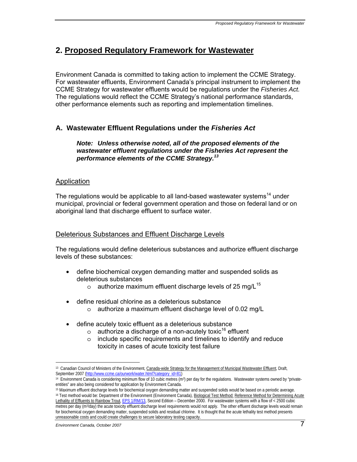# **2. Proposed Regulatory Framework for Wastewater**

Environment Canada is committed to taking action to implement the CCME Strategy. For wastewater effluents, Environment Canada's principal instrument to implement the CCME Strategy for wastewater effluents would be regulations under the *Fisheries Act.*  The regulations would reflect the CCME Strategy's national performance standards, other performance elements such as reporting and implementation timelines.

## **A. Wastewater Effluent Regulations under the** *Fisheries Act*

## *Note: Unless otherwise noted, all of the proposed elements of the wastewater effluent regulations under the Fisheries Act represent the performance elements of the CCME Strategy.13*

## Application

The regulations would be applicable to all land-based wastewater systems<sup>14</sup> under municipal, provincial or federal government operation and those on federal land or on aboriginal land that discharge effluent to surface water.

## Deleterious Substances and Effluent Discharge Levels

The regulations would define deleterious substances and authorize effluent discharge levels of these substances:

- define biochemical oxygen demanding matter and suspended solids as deleterious substances
	- o authorize maximum effluent discharge levels of 25 mg/L<sup>15</sup>
- define residual chlorine as a deleterious substance
	- o authorize a maximum effluent discharge level of 0.02 mg/L
- define acutely toxic effluent as a deleterious substance
	- $\circ$  authorize a discharge of a non-acutely toxic<sup>16</sup> effluent
	- o include specific requirements and timelines to identify and reduce toxicity in cases of acute toxicity test failure

<u>.</u>

<sup>13</sup> Canadian Council of Ministers of the Environment, Canada-wide Strategy for the Management of Municipal Wastewater Effluent*,* Draft, September 2007 (<u>http://www.ccme.ca/ourwork/water.html?category\_id=81</u>)<br><sup>14</sup> Environment Canada is considering minimum flow of 10 cubic metres (m<sup>3</sup>) per day for the regulations. Wastewater systems owned by "private-

entities" are also being considered for application by Environment Canada.<br><sup>15</sup> Maximum effluent discharge levels for biochemical oxygen demanding matter and suspended solids would be based on a periodic average.

<sup>16</sup> Test method would be: Department of the Environment (Environment Canada), Biological Test Method: Reference Method for Determining Acute Lethality of Effluents to Rainbow Trout, EPS 1/RM/13, Second Edition – December 2000. For wastewater systems with a flow of < 2500 cubic metres per day (m3/day) the acute toxicity effluent discharge level requirements would not apply. The other effluent discharge levels would remain for biochemical oxygen demanding matter, suspended solids and residual chlorine. It is thought that the acute lethality test method presents unreasonable costs and could create challenges to secure laboratory testing capacity.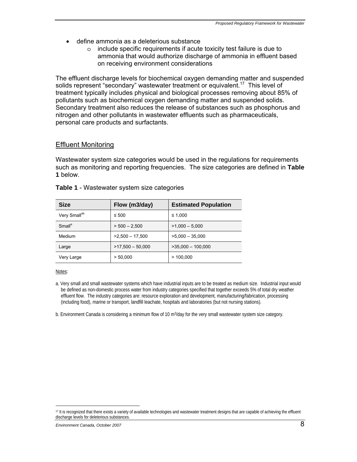- define ammonia as a deleterious substance
	- o include specific requirements if acute toxicity test failure is due to ammonia that would authorize discharge of ammonia in effluent based on receiving environment considerations

The effluent discharge levels for biochemical oxygen demanding matter and suspended solids represent "secondary" wastewater treatment or equivalent.<sup>17</sup> This level of treatment typically includes physical and biological processes removing about 85% of pollutants such as biochemical oxygen demanding matter and suspended solids. Secondary treatment also reduces the release of substances such as phosphorus and nitrogen and other pollutants in wastewater effluents such as pharmaceuticals, personal care products and surfactants.

## Effluent Monitoring

Wastewater system size categories would be used in the regulations for requirements such as monitoring and reporting frequencies. The size categories are defined in **Table 1** below.

| <b>Size</b>              | Flow (m3/day)<br><b>Estimated Population</b> |                     |
|--------------------------|----------------------------------------------|---------------------|
| Very Small <sup>ab</sup> | $\leq 500$                                   | ≤ 1.000             |
| Small <sup>a</sup>       | $> 500 - 2.500$                              | $>1,000 - 5,000$    |
| Medium                   | $>2,500 - 17,500$                            | $>5.000 - 35.000$   |
| Large                    | $>17,500 - 50,000$                           | $>35,000 - 100,000$ |
| Very Large               | > 50,000                                     | >100.000            |

## **Table 1** - Wastewater system size categories

#### Notes:

1

a. Very small and small wastewater systems which have industrial inputs are to be treated as medium size. Industrial input would be defined as non-domestic process water from industry categories specified that together exceeds 5% of total dry weather effluent flow. The industry categories are: resource exploration and development, manufacturing/fabrication, processing (including food), marine or transport, landfill leachate, hospitals and laboratories (but not nursing stations).

b. Environment Canada is considering a minimum flow of 10 m<sup>3</sup>/day for the very small wastewater system size category.

<sup>&</sup>lt;sup>17</sup> It is recognized that there exists a variety of available technologies and wastewater treatment designs that are capable of achieving the effluent discharge levels for deleterious substances.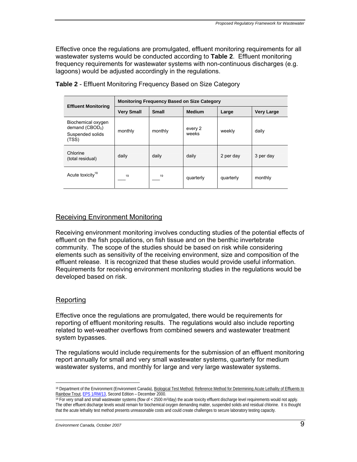Effective once the regulations are promulgated, effluent monitoring requirements for all wastewater systems would be conducted according to **Table 2**. Effluent monitoring frequency requirements for wastewater systems with non-continuous discharges (e.g. lagoons) would be adjusted accordingly in the regulations.

|                                                                     | <b>Monitoring Frequency Based on Size Category</b> |              |                  |           |                   |
|---------------------------------------------------------------------|----------------------------------------------------|--------------|------------------|-----------|-------------------|
| <b>Effluent Monitoring</b>                                          | <b>Very Small</b>                                  | <b>Small</b> | <b>Medium</b>    | Large     | <b>Very Large</b> |
| Biochemical oxygen<br>demand $(CBOD5)$<br>Suspended solids<br>(TSS) | monthly                                            | monthly      | every 2<br>weeks | weekly    | daily             |
| Chlorine<br>(total residual)                                        | daily                                              | daily        | daily            | 2 per day | 3 per day         |
| Acute toxicity <sup>18</sup>                                        | 19                                                 | 19           | quarterly        | quarterly | monthly           |

**Table 2** - Effluent Monitoring Frequency Based on Size Category

## Receiving Environment Monitoring

Receiving environment monitoring involves conducting studies of the potential effects of effluent on the fish populations, on fish tissue and on the benthic invertebrate community. The scope of the studies should be based on risk while considering elements such as sensitivity of the receiving environment, size and composition of the effluent release. It is recognized that these studies would provide useful information. Requirements for receiving environment monitoring studies in the regulations would be developed based on risk.

## **Reporting**

<u>.</u>

Effective once the regulations are promulgated, there would be requirements for reporting of effluent monitoring results. The regulations would also include reporting related to wet-weather overflows from combined sewers and wastewater treatment system bypasses.

The regulations would include requirements for the submission of an effluent monitoring report annually for small and very small wastewater systems, quarterly for medium wastewater systems, and monthly for large and very large wastewater systems.

<sup>18</sup> Department of the Environment (Environment Canada), Biological Test Method: Reference Method for Determining Acute Lethality of Effluents to Rainbow Trout, EPS 1/RM/13, Second Edition – December 2000.<br><sup>19</sup> For very small and small wastewater systems (flow of < 2500 m<sup>3</sup>/day) the acute toxicity effluent discharge level requirements would not apply.

The other effluent discharge levels would remain for biochemical oxygen demanding matter, suspended solids and residual chlorine. It is thought that the acute lethality test method presents unreasonable costs and could create challenges to secure laboratory testing capacity.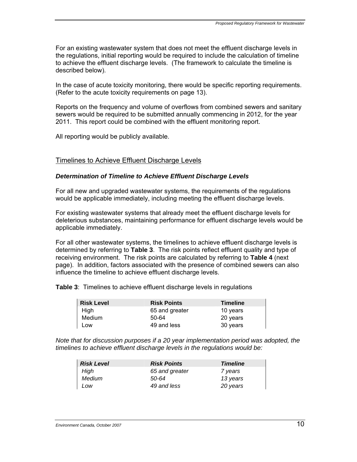For an existing wastewater system that does not meet the effluent discharge levels in the regulations, initial reporting would be required to include the calculation of timeline to achieve the effluent discharge levels. (The framework to calculate the timeline is described below).

In the case of acute toxicity monitoring, there would be specific reporting requirements. (Refer to the acute toxicity requirements on page 13).

Reports on the frequency and volume of overflows from combined sewers and sanitary sewers would be required to be submitted annually commencing in 2012, for the year 2011. This report could be combined with the effluent monitoring report.

All reporting would be publicly available.

## Timelines to Achieve Effluent Discharge Levels

## *Determination of Timeline to Achieve Effluent Discharge Levels*

For all new and upgraded wastewater systems, the requirements of the regulations would be applicable immediately, including meeting the effluent discharge levels.

For existing wastewater systems that already meet the effluent discharge levels for deleterious substances, maintaining performance for effluent discharge levels would be applicable immediately.

For all other wastewater systems, the timelines to achieve effluent discharge levels is determined by referring to **Table 3**. The risk points reflect effluent quality and type of receiving environment. The risk points are calculated by referring to **Table 4** (next page). In addition, factors associated with the presence of combined sewers can also influence the timeline to achieve effluent discharge levels.

**Table 3**: Timelines to achieve effluent discharge levels in regulations

| <b>Risk Level</b> | <b>Risk Points</b> | <b>Timeline</b> |
|-------------------|--------------------|-----------------|
| High              | 65 and greater     | 10 years        |
| Medium            | 50-64              | 20 years        |
| Low               | 49 and less        | 30 years        |

*Note that for discussion purposes if a 20 year implementation period was adopted, the timelines to achieve effluent discharge levels in the regulations would be:* 

| <b>Risk Level</b> | <b>Risk Points</b> | <b>Timeline</b> |
|-------------------|--------------------|-----------------|
| High              | 65 and greater     | 7 years         |
| Medium            | 50-64              | 13 years        |
| Low               | 49 and less        | 20 years        |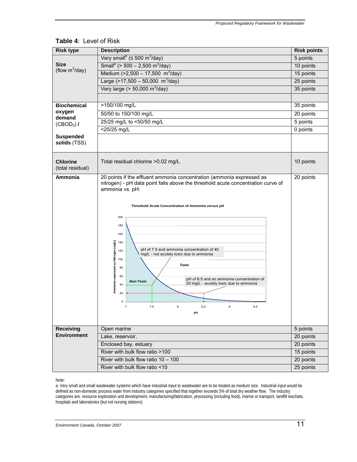| <b>Risk type</b>                    | <b>Description</b>                                                                                                                                                                                                                                                                                                                                                                                                                                                                                                                                                                              | <b>Risk points</b> |  |
|-------------------------------------|-------------------------------------------------------------------------------------------------------------------------------------------------------------------------------------------------------------------------------------------------------------------------------------------------------------------------------------------------------------------------------------------------------------------------------------------------------------------------------------------------------------------------------------------------------------------------------------------------|--------------------|--|
|                                     | Very small <sup>a</sup> ( $\leq$ 500 m <sup>3</sup> /day)                                                                                                                                                                                                                                                                                                                                                                                                                                                                                                                                       | 5 points           |  |
| Size                                | Small <sup>a</sup> (> 500 - 2,500 m <sup>3</sup> /day)                                                                                                                                                                                                                                                                                                                                                                                                                                                                                                                                          | 10 points          |  |
| (flow $m^3$ /day)                   | Medium (>2,500 - 17,500 m <sup>3</sup> /day)                                                                                                                                                                                                                                                                                                                                                                                                                                                                                                                                                    | 15 points          |  |
|                                     | Large $(>17,500 - 50,000$ m <sup>3</sup> /day)                                                                                                                                                                                                                                                                                                                                                                                                                                                                                                                                                  | 25 points          |  |
|                                     | Very large ( $> 50,000$ m <sup>3</sup> /day)                                                                                                                                                                                                                                                                                                                                                                                                                                                                                                                                                    | 35 points          |  |
|                                     |                                                                                                                                                                                                                                                                                                                                                                                                                                                                                                                                                                                                 |                    |  |
| <b>Biochemical</b>                  | >150/100 mg/L                                                                                                                                                                                                                                                                                                                                                                                                                                                                                                                                                                                   | 35 points          |  |
| oxygen                              | 50/50 to 150/100 mg/L                                                                                                                                                                                                                                                                                                                                                                                                                                                                                                                                                                           | 20 points          |  |
| demand                              | 25/25 mg/L to <50/50 mg/L                                                                                                                                                                                                                                                                                                                                                                                                                                                                                                                                                                       | 5 points           |  |
| $(CBOD5)$ /                         | <25/25 mg/L                                                                                                                                                                                                                                                                                                                                                                                                                                                                                                                                                                                     | 0 points           |  |
| <b>Suspended</b><br>solids (TSS)    |                                                                                                                                                                                                                                                                                                                                                                                                                                                                                                                                                                                                 |                    |  |
| <b>Chlorine</b><br>(total residual) | Total residual chlorine > 0.02 mg/L                                                                                                                                                                                                                                                                                                                                                                                                                                                                                                                                                             | 10 points          |  |
| Ammonia                             | 20 points if the effluent ammonia concentration (ammonia expressed as<br>nitrogen) - pH data point falls above the threshold acute concentration curve of<br>ammonia vs. pH:<br>Threshold Acute Concentration of Ammonia versus pH<br>200<br>180<br>160<br>Ammonia expressed as Nitrogen (mg/L)<br>140<br>pH of 7.5 and ammonia concentration of 40<br>120<br>mg/L - not acutely toxic due to ammonia<br>100<br><b>Toxic</b><br>80<br>60<br>pH of 8.5 and an ammonia concentration of<br><b>Non-Toxic</b><br>25 mg/L - acutely toxic due to ammonia<br>40<br>20<br>0<br>7.5<br>8.5<br>9.5<br>pH | 20 points          |  |
| <b>Receiving</b>                    | Open marine                                                                                                                                                                                                                                                                                                                                                                                                                                                                                                                                                                                     | 5 points           |  |
| <b>Environment</b>                  | Lake, reservoir,                                                                                                                                                                                                                                                                                                                                                                                                                                                                                                                                                                                | 20 points          |  |
|                                     | Enclosed bay, estuary<br>20 points<br>River with bulk flow ratio >100<br>15 points                                                                                                                                                                                                                                                                                                                                                                                                                                                                                                              |                    |  |
|                                     |                                                                                                                                                                                                                                                                                                                                                                                                                                                                                                                                                                                                 |                    |  |
|                                     | River with bulk flow ratio $10 - 100$                                                                                                                                                                                                                                                                                                                                                                                                                                                                                                                                                           | 20 points          |  |
|                                     | River with bulk flow ratio <10                                                                                                                                                                                                                                                                                                                                                                                                                                                                                                                                                                  | 25 points          |  |

## **Table 4**: Level of Risk

#### Note:

a. Very small and small wastewater systems which have industrial input to wastewater are to be treated as medium size. Industrial input would be defined as non-domestic process water from industry categories specified that together exceeds 5% of total dry weather flow. The industry categories are: resource exploration and development, manufacturing/fabrication, processing (including food), marine or transport, landfill leachate, hospitals and laboratories (but not nursing stations).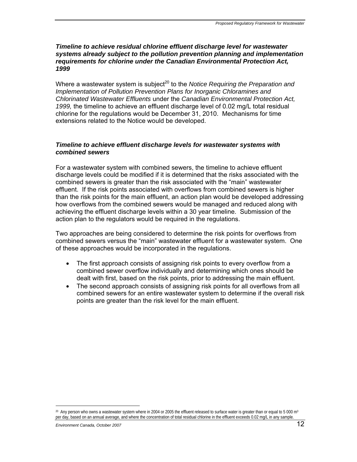## *Timeline to achieve residual chlorine effluent discharge level for wastewater systems already subject to the pollution prevention planning and implementation requirements for chlorine under the Canadian Environmental Protection Act, 1999*

Where a wastewater system is subject<sup>20</sup> to the *Notice Requiring the Preparation and Implementation of Pollution Prevention Plans for Inorganic Chloramines and Chlorinated Wastewater Effluents* under the *Canadian Environmental Protection Act, 1999,* the timeline to achieve an effluent discharge level of 0.02 mg/L total residual chlorine for the regulations would be December 31, 2010. Mechanisms for time extensions related to the Notice would be developed.

## *Timeline to achieve effluent discharge levels for wastewater systems with combined sewers*

For a wastewater system with combined sewers, the timeline to achieve effluent discharge levels could be modified if it is determined that the risks associated with the combined sewers is greater than the risk associated with the "main" wastewater effluent. If the risk points associated with overflows from combined sewers is higher than the risk points for the main effluent, an action plan would be developed addressing how overflows from the combined sewers would be managed and reduced along with achieving the effluent discharge levels within a 30 year timeline. Submission of the action plan to the regulators would be required in the regulations.

Two approaches are being considered to determine the risk points for overflows from combined sewers versus the "main" wastewater effluent for a wastewater system. One of these approaches would be incorporated in the regulations.

- The first approach consists of assigning risk points to every overflow from a combined sewer overflow individually and determining which ones should be dealt with first, based on the risk points, prior to addressing the main effluent.
- The second approach consists of assigning risk points for all overflows from all combined sewers for an entire wastewater system to determine if the overall risk points are greater than the risk level for the main effluent.

 $20$  Any person who owns a wastewater system where in 2004 or 2005 the effluent released to surface water is greater than or equal to 5 000 m<sup>3</sup> per day, based on an annual average, and where the concentration of total residual chlorine in the effluent exceeds 0.02 mg/L in any sample.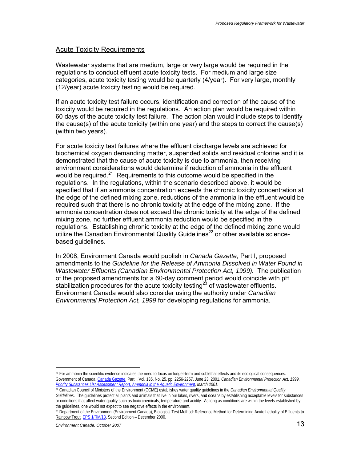## Acute Toxicity Requirements

Wastewater systems that are medium, large or very large would be required in the regulations to conduct effluent acute toxicity tests. For medium and large size categories, acute toxicity testing would be quarterly (4/year). For very large, monthly (12/year) acute toxicity testing would be required.

If an acute toxicity test failure occurs, identification and correction of the cause of the toxicity would be required in the regulations. An action plan would be required within 60 days of the acute toxicity test failure. The action plan would include steps to identify the cause(s) of the acute toxicity (within one year) and the steps to correct the cause(s) (within two years).

For acute toxicity test failures where the effluent discharge levels are achieved for biochemical oxygen demanding matter, suspended solids and residual chlorine and it is demonstrated that the cause of acute toxicity is due to ammonia, then receiving environment considerations would determine if reduction of ammonia in the effluent would be required. $21$  Requirements to this outcome would be specified in the regulations. In the regulations, within the scenario described above, it would be specified that if an ammonia concentration exceeds the chronic toxicity concentration at the edge of the defined mixing zone, reductions of the ammonia in the effluent would be required such that there is no chronic toxicity at the edge of the mixing zone. If the ammonia concentration does not exceed the chronic toxicity at the edge of the defined mixing zone, no further effluent ammonia reduction would be specified in the regulations. Establishing chronic toxicity at the edge of the defined mixing zone would utilize the Canadian Environmental Quality Guidelines<sup>22</sup> or other available sciencebased quidelines.

In 2008, Environment Canada would publish in *Canada Gazette,* Part I, proposed amendments to the *Guideline for the Release of Ammonia Dissolved in Water Found in Wastewater Effluents (Canadian Environmental Protection Act, 1999).* The publication of the proposed amendments for a 60-day comment period would coincide with pH stabilization procedures for the acute toxicity testing<sup>23</sup> of wastewater effluents. Environment Canada would also consider using the authority under *Canadian Environmental Protection Act, 1999* for developing regulations for ammonia.

<sup>21</sup> For ammonia the scientific evidence indicates the need to focus on longer-term and sublethal effects and its ecological consequences. Government of Canada, Canada Gazette, Part I, Vol. 135, No. 25, pp. 2256-2257, June 23, 2001. *Canadian Environmental Protection Act, 1999, Priority Substances List Assessment Report, Ammonia in the Aquatic Environment, March 2001.*

<sup>22</sup> Canadian Council of Ministers of the Environment (CCME) establishes water quality guidelines in the *Canadian Environmental Quality Guidelines*. The guidelines protect all plants and animals that live in our lakes, rivers, and oceans by establishing acceptable levels for substances or conditions that affect water quality such as toxic chemicals, temperature and acidity. As long as conditions are within the levels established by the guidelines, one would not expect to see negative effects in the environment.

<sup>&</sup>lt;sup>23</sup> Department of the Environment (Environment Canada), Biological Test Method: Reference Method for Determining Acute Lethality of Effluents to Rainbow Trout, EPS 1/RM/13, Second Edition – December 2000.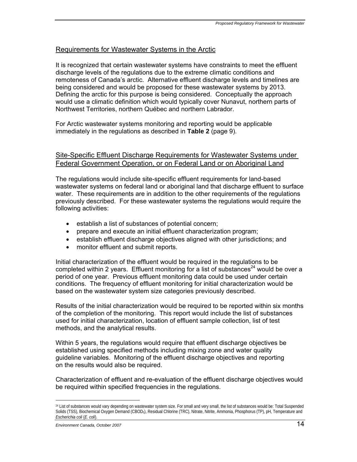## Requirements for Wastewater Systems in the Arctic

It is recognized that certain wastewater systems have constraints to meet the effluent discharge levels of the regulations due to the extreme climatic conditions and remoteness of Canada's arctic. Alternative effluent discharge levels and timelines are being considered and would be proposed for these wastewater systems by 2013. Defining the arctic for this purpose is being considered. Conceptually the approach would use a climatic definition which would typically cover Nunavut, northern parts of Northwest Territories, northern Québec and northern Labrador.

For Arctic wastewater systems monitoring and reporting would be applicable immediately in the regulations as described in **Table 2** (page 9).

## Site-Specific Effluent Discharge Requirements for Wastewater Systems under Federal Government Operation, or on Federal Land or on Aboriginal Land

The regulations would include site-specific effluent requirements for land-based wastewater systems on federal land or aboriginal land that discharge effluent to surface water. These requirements are in addition to the other requirements of the regulations previously described. For these wastewater systems the regulations would require the following activities:

- establish a list of substances of potential concern;
- prepare and execute an initial effluent characterization program;
- establish effluent discharge objectives aligned with other jurisdictions; and
- monitor effluent and submit reports.

Initial characterization of the effluent would be required in the regulations to be completed within 2 years. Effluent monitoring for a list of substances<sup>24</sup> would be over a period of one year. Previous effluent monitoring data could be used under certain conditions. The frequency of effluent monitoring for initial characterization would be based on the wastewater system size categories previously described.

Results of the initial characterization would be required to be reported within six months of the completion of the monitoring. This report would include the list of substances used for initial characterization, location of effluent sample collection, list of test methods, and the analytical results.

Within 5 years, the regulations would require that effluent discharge objectives be established using specified methods including mixing zone and water quality guideline variables. Monitoring of the effluent discharge objectives and reporting on the results would also be required.

Characterization of effluent and re-evaluation of the effluent discharge objectives would be required within specified frequencies in the regulations.

<sup>&</sup>lt;sup>24</sup> List of substances would vary depending on wastewater system size. For small and very small, the list of substances would be: Total Suspended Solids (TSS), Biochemical Oxygen Demand (CBOD5), Residual Chlorine (TRC), Nitrate, Nitrite, Ammonia, Phosphorus (TP), pH, Temperature and *Escherichia coli* (*E. coli*).

*Environment Canada, October 2007* 14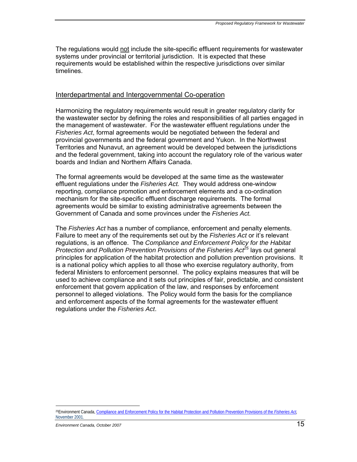The regulations would not include the site-specific effluent requirements for wastewater systems under provincial or territorial jurisdiction. It is expected that these requirements would be established within the respective jurisdictions over similar timelines.

## Interdepartmental and Intergovernmental Co-operation

Harmonizing the regulatory requirements would result in greater regulatory clarity for the wastewater sector by defining the roles and responsibilities of all parties engaged in the management of wastewater. For the wastewater effluent regulations under the *Fisheries Act*, formal agreements would be negotiated between the federal and provincial governments and the federal government and Yukon. In the Northwest Territories and Nunavut, an agreement would be developed between the jurisdictions and the federal government, taking into account the regulatory role of the various water boards and Indian and Northern Affairs Canada.

The formal agreements would be developed at the same time as the wastewater effluent regulations under the *Fisheries Act.* They would address one-window reporting, compliance promotion and enforcement elements and a co-ordination mechanism for the site-specific effluent discharge requirements. The formal agreements would be similar to existing administrative agreements between the Government of Canada and some provinces under the *Fisheries Act.* 

The *Fisheries Act* has a number of compliance, enforcement and penalty elements. Failure to meet any of the requirements set out by the *Fisheries Act* or it's relevant regulations, is an offence. The *Compliance and Enforcement Policy for the Habitat Protection and Pollution Prevention Provisions of the Fisheries Act<sup>25</sup> lays out general* principles for application of the habitat protection and pollution prevention provisions. It is a national policy which applies to all those who exercise regulatory authority, from federal Ministers to enforcement personnel. The policy explains measures that will be used to achieve compliance and it sets out principles of fair, predictable, and consistent enforcement that govern application of the law, and responses by enforcement personnel to alleged violations. The Policy would form the basis for the compliance and enforcement aspects of the formal agreements for the wastewater effluent regulations under the *Fisheries Act*.

<sup>1</sup> 25Environment Canada, Compliance and Enforcement Policy for the Habitat Protection and Pollution Prevention Provisions of the *Fisheries Act,* November 2001.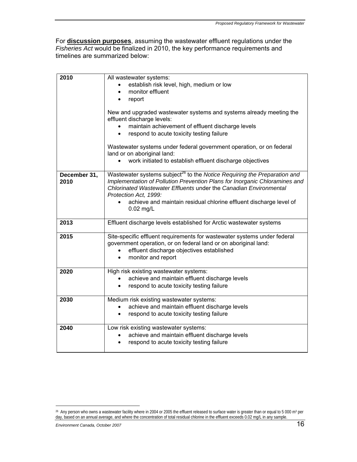For **discussion purposes**, assuming the wastewater effluent regulations under the *Fisheries Act* would be finalized in 2010, the key performance requirements and timelines are summarized below:

| 2010                 | All wastewater systems:<br>establish risk level, high, medium or low<br>monitor effluent<br>report<br>New and upgraded wastewater systems and systems already meeting the<br>effluent discharge levels:<br>maintain achievement of effluent discharge levels                                                                           |
|----------------------|----------------------------------------------------------------------------------------------------------------------------------------------------------------------------------------------------------------------------------------------------------------------------------------------------------------------------------------|
|                      | respond to acute toxicity testing failure<br>$\bullet$<br>Wastewater systems under federal government operation, or on federal<br>land or on aboriginal land:                                                                                                                                                                          |
|                      | work initiated to establish effluent discharge objectives<br>$\bullet$                                                                                                                                                                                                                                                                 |
| December 31,<br>2010 | Wastewater systems subject <sup>26</sup> to the Notice Requiring the Preparation and<br>Implementation of Pollution Prevention Plans for Inorganic Chloramines and<br>Chlorinated Wastewater Effluents under the Canadian Environmental<br>Protection Act, 1999:<br>achieve and maintain residual chlorine effluent discharge level of |
|                      | $0.02$ mg/L                                                                                                                                                                                                                                                                                                                            |
| 2013                 | Effluent discharge levels established for Arctic wastewater systems                                                                                                                                                                                                                                                                    |
| 2015                 | Site-specific effluent requirements for wastewater systems under federal<br>government operation, or on federal land or on aboriginal land:<br>effluent discharge objectives established<br>monitor and report<br>$\bullet$                                                                                                            |
| 2020                 | High risk existing wastewater systems:<br>achieve and maintain effluent discharge levels<br>respond to acute toxicity testing failure                                                                                                                                                                                                  |
| 2030                 | Medium risk existing wastewater systems:<br>achieve and maintain effluent discharge levels<br>respond to acute toxicity testing failure<br>$\bullet$                                                                                                                                                                                   |
| 2040                 | Low risk existing wastewater systems:<br>achieve and maintain effluent discharge levels<br>respond to acute toxicity testing failure                                                                                                                                                                                                   |

<sup>&</sup>lt;sup>26</sup> Any person who owns a wastewater facility where in 2004 or 2005 the effluent released to surface water is greater than or equal to 5 000 m<sup>3</sup> per day, based on an annual average, and where the concentration of total residual chlorine in the effluent exceeds 0.02 mg/L in any sample.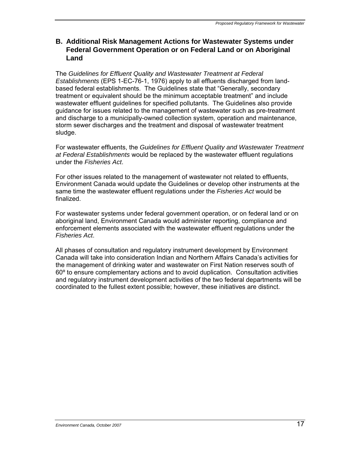## **B. Additional Risk Management Actions for Wastewater Systems under Federal Government Operation or on Federal Land or on Aboriginal Land**

The *Guidelines for Effluent Quality and Wastewater Treatment at Federal Establishments* (EPS 1-EC-76-1, 1976) apply to all effluents discharged from landbased federal establishments. The Guidelines state that "Generally, secondary treatment or equivalent should be the minimum acceptable treatment" and include wastewater effluent guidelines for specified pollutants. The Guidelines also provide guidance for issues related to the management of wastewater such as pre-treatment and discharge to a municipally-owned collection system, operation and maintenance, storm sewer discharges and the treatment and disposal of wastewater treatment sludge.

For wastewater effluents, the *Guidelines for Effluent Quality and Wastewater Treatment at Federal Establishments* would be replaced by the wastewater effluent regulations under the *Fisheries Act*.

For other issues related to the management of wastewater not related to effluents, Environment Canada would update the Guidelines or develop other instruments at the same time the wastewater effluent regulations under the *Fisheries Act* would be finalized.

For wastewater systems under federal government operation, or on federal land or on aboriginal land, Environment Canada would administer reporting, compliance and enforcement elements associated with the wastewater effluent regulations under the *Fisheries Act*.

All phases of consultation and regulatory instrument development by Environment Canada will take into consideration Indian and Northern Affairs Canada's activities for the management of drinking water and wastewater on First Nation reserves south of 60º to ensure complementary actions and to avoid duplication. Consultation activities and regulatory instrument development activities of the two federal departments will be coordinated to the fullest extent possible; however, these initiatives are distinct.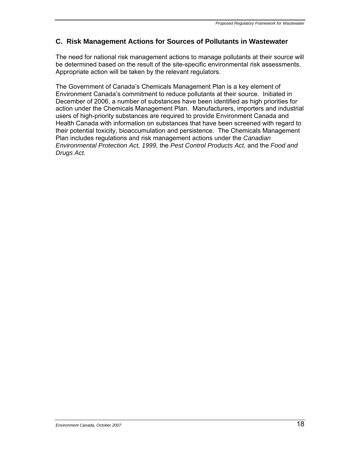## **C. Risk Management Actions for Sources of Pollutants in Wastewater**

The need for national risk management actions to manage pollutants at their source will be determined based on the result of the site-specific environmental risk assessments. Appropriate action will be taken by the relevant regulators.

The Government of Canada's Chemicals Management Plan is a key element of Environment Canada's commitment to reduce pollutants at their source. Initiated in December of 2006, a number of substances have been identified as high priorities for action under the Chemicals Management Plan. Manufacturers, importers and industrial users of high-priority substances are required to provide Environment Canada and Health Canada with information on substances that have been screened with regard to their potential toxicity, bioaccumulation and persistence. The Chemicals Management Plan includes regulations and risk management actions under the *Canadian Environmental Protection Act, 1999,* the *Pest Control Products Act,* and the *Food and Drugs Act.*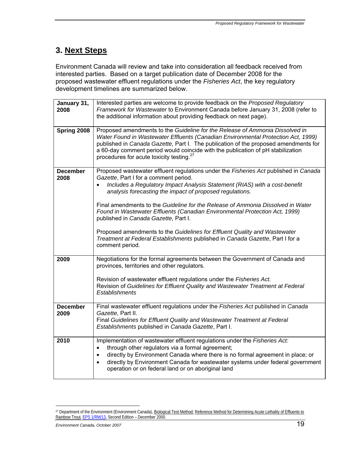# **3. Next Steps**

Environment Canada will review and take into consideration all feedback received from interested parties. Based on a target publication date of December 2008 for the proposed wastewater effluent regulations under the *Fisheries Act*, the key regulatory development timelines are summarized below.

| January 31,<br>2008     | Interested parties are welcome to provide feedback on the Proposed Regulatory<br>Framework for Wastewater to Environment Canada before January 31, 2008 (refer to<br>the additional information about providing feedback on next page).                                                                                                                                                                                                                                                                                                                                                                                                                            |
|-------------------------|--------------------------------------------------------------------------------------------------------------------------------------------------------------------------------------------------------------------------------------------------------------------------------------------------------------------------------------------------------------------------------------------------------------------------------------------------------------------------------------------------------------------------------------------------------------------------------------------------------------------------------------------------------------------|
| Spring 2008             | Proposed amendments to the Guideline for the Release of Ammonia Dissolved in<br>Water Found in Wastewater Effluents (Canadian Environmental Protection Act, 1999)<br>published in Canada Gazette, Part I. The publication of the proposed amendments for<br>a 60-day comment period would coincide with the publication of pH stabilization<br>procedures for acute toxicity testing. <sup>27</sup>                                                                                                                                                                                                                                                                |
| <b>December</b><br>2008 | Proposed wastewater effluent regulations under the Fisheries Act published in Canada<br>Gazette, Part I for a comment period.<br>Includes a Regulatory Impact Analysis Statement (RIAS) with a cost-benefit<br>analysis forecasting the impact of proposed regulations.<br>Final amendments to the Guideline for the Release of Ammonia Dissolved in Water<br>Found in Wastewater Effluents (Canadian Environmental Protection Act, 1999)<br>published in Canada Gazette, Part I.<br>Proposed amendments to the Guidelines for Effluent Quality and Wastewater<br>Treatment at Federal Establishments published in Canada Gazette, Part I for a<br>comment period. |
| 2009                    | Negotiations for the formal agreements between the Government of Canada and<br>provinces, territories and other regulators.<br>Revision of wastewater effluent regulations under the Fisheries Act.<br>Revision of Guidelines for Effluent Quality and Wastewater Treatment at Federal<br><b>Establishments</b>                                                                                                                                                                                                                                                                                                                                                    |
| <b>December</b><br>2009 | Final wastewater effluent regulations under the Fisheries Act published in Canada<br>Gazette, Part II.<br>Final Guidelines for Effluent Quality and Wastewater Treatment at Federal<br>Establishments published in Canada Gazette, Part I.                                                                                                                                                                                                                                                                                                                                                                                                                         |
| 2010                    | Implementation of wastewater effluent regulations under the Fisheries Act:<br>through other regulators via a formal agreement;<br>$\bullet$<br>directly by Environment Canada where there is no formal agreement in place; or<br>$\bullet$<br>directly by Environment Canada for wastewater systems under federal government<br>$\bullet$<br>operation or on federal land or on aboriginal land                                                                                                                                                                                                                                                                    |

<sup>&</sup>lt;sup>27</sup> Department of the Environment (Environment Canada), Biological Test Method: Reference Method for Determining Acute Lethality of Effluents to Rainbow Trout, EPS 1/RM/13, Second Edition – December 2000.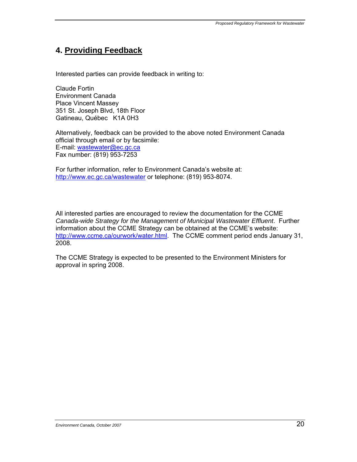# **4. Providing Feedback**

Interested parties can provide feedback in writing to:

Claude Fortin Environment Canada Place Vincent Massey 351 St. Joseph Blvd, 18th Floor Gatineau, Québec K1A 0H3

Alternatively, feedback can be provided to the above noted Environment Canada official through email or by facsimile: E-mail: wastewater@ec.gc.ca Fax number: (819) 953-7253

For further information, refer to Environment Canada's website at: http://www.ec.gc.ca/wastewater or telephone: (819) 953-8074.

All interested parties are encouraged to review the documentation for the CCME *Canada-wide Strategy for the Management of Municipal Wastewater Effluent*. Further information about the CCME Strategy can be obtained at the CCME's website: http://www.ccme.ca/ourwork/water.html. The CCME comment period ends January 31, 2008.

The CCME Strategy is expected to be presented to the Environment Ministers for approval in spring 2008.